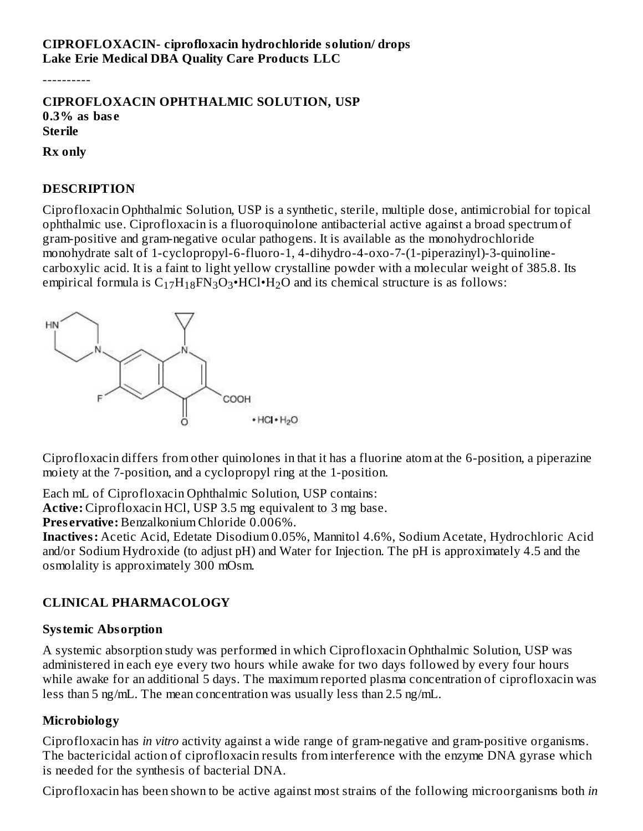#### **CIPROFLOXACIN- ciprofloxacin hydrochloride solution/ drops Lake Erie Medical DBA Quality Care Products LLC**

----------

**CIPROFLOXACIN OPHTHALMIC SOLUTION, USP 0.3% as bas e Sterile**

**Rx only**

#### **DESCRIPTION**

Ciprofloxacin Ophthalmic Solution, USP is a synthetic, sterile, multiple dose, antimicrobial for topical ophthalmic use. Ciprofloxacin is a fluoroquinolone antibacterial active against a broad spectrum of gram-positive and gram-negative ocular pathogens. It is available as the monohydrochloride monohydrate salt of 1-cyclopropyl-6-fluoro-1, 4-dihydro-4-oxo-7-(1-piperazinyl)-3-quinolinecarboxylic acid. It is a faint to light yellow crystalline powder with a molecular weight of 385.8. Its empirical formula is  $\rm C_{17}H_{18}FN_{3}O_{3}$ •HCl•H $_{2}O$  and its chemical structure is as follows:



Ciprofloxacin differs from other quinolones in that it has a fluorine atom at the 6-position, a piperazine moiety at the 7-position, and a cyclopropyl ring at the 1-position.

Each mL of Ciprofloxacin Ophthalmic Solution, USP contains:

**Active:** Ciprofloxacin HCl, USP 3.5 mg equivalent to 3 mg base.

**Pres ervative:** Benzalkonium Chloride 0.006%.

**Inactives:** Acetic Acid, Edetate Disodium 0.05%, Mannitol 4.6%, Sodium Acetate, Hydrochloric Acid and/or Sodium Hydroxide (to adjust pH) and Water for Injection. The pH is approximately 4.5 and the osmolality is approximately 300 mOsm.

#### **CLINICAL PHARMACOLOGY**

#### **Systemic Absorption**

A systemic absorption study was performed in which Ciprofloxacin Ophthalmic Solution, USP was administered in each eye every two hours while awake for two days followed by every four hours while awake for an additional 5 days. The maximum reported plasma concentration of ciprofloxacin was less than 5 ng/mL. The mean concentration was usually less than 2.5 ng/mL.

#### **Microbiology**

Ciprofloxacin has *in vitro* activity against a wide range of gram-negative and gram-positive organisms. The bactericidal action of ciprofloxacin results from interference with the enzyme DNA gyrase which is needed for the synthesis of bacterial DNA.

Ciprofloxacin has been shown to be active against most strains of the following microorganisms both *in*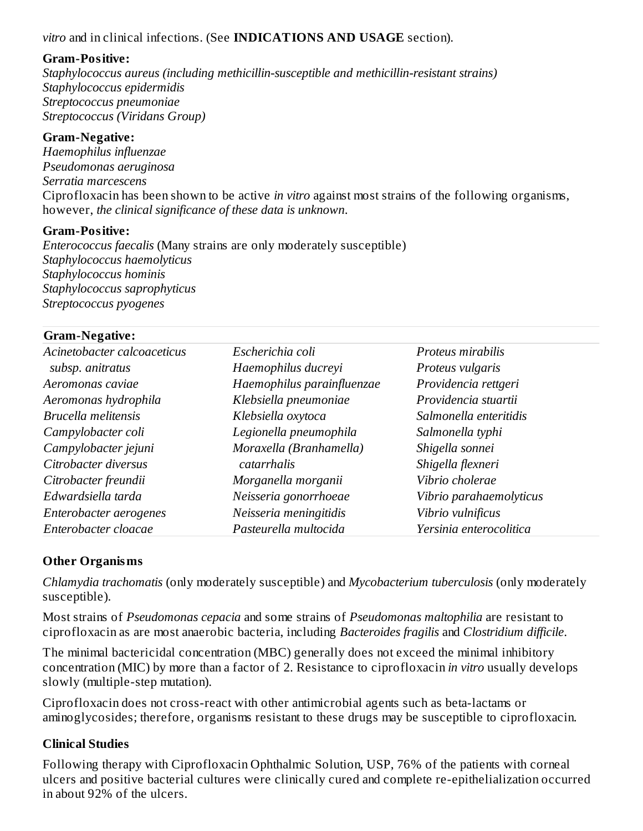*vitro* and in clinical infections. (See **INDICATIONS AND USAGE** section).

#### **Gram-Positive:**

*Staphylococcus aureus (including methicillin-susceptible and methicillin-resistant strains) Staphylococcus epidermidis Streptococcus pneumoniae Streptococcus (Viridans Group)*

#### **Gram-Negative:**

*Haemophilus influenzae Pseudomonas aeruginosa Serratia marcescens* Ciprofloxacin has been shown to be active *in vitro* against most strains of the following organisms, however, *the clinical significance of these data is unknown*.

#### **Gram-Positive:**

*Enterococcus faecalis* (Many strains are only moderately susceptible) *Staphylococcus haemolyticus Staphylococcus hominis Staphylococcus saprophyticus Streptococcus pyogenes*

#### **Gram-Negative:**

| OT QUIL-THE SQUAC.          |                            |                         |
|-----------------------------|----------------------------|-------------------------|
| Acinetobacter calcoaceticus | Escherichia coli           | Proteus mirabilis       |
| subsp. anitratus            | Haemophilus ducreyi        | Proteus vulgaris        |
| Aeromonas caviae            | Haemophilus parainfluenzae | Providencia rettgeri    |
| Aeromonas hydrophila        | Klebsiella pneumoniae      | Providencia stuartii    |
| Brucella melitensis         | Klebsiella oxytoca         | Salmonella enteritidis  |
| Campylobacter coli          | Legionella pneumophila     | Salmonella typhi        |
| Campylobacter jejuni        | Moraxella (Branhamella)    | Shigella sonnei         |
| Citrobacter diversus        | catarrhalis                | Shigella flexneri       |
| Citrobacter freundii        | Morganella morganii        | Vibrio cholerae         |
| Edwardsiella tarda          | Neisseria gonorrhoeae      | Vibrio parahaemolyticus |
| Enterobacter aerogenes      | Neisseria meningitidis     | Vibrio vulnificus       |
| Enterobacter cloacae        | Pasteurella multocida      | Yersinia enterocolitica |

#### **Other Organisms**

*Chlamydia trachomatis* (only moderately susceptible) and *Mycobacterium tuberculosis* (only moderately susceptible).

Most strains of *Pseudomonas cepacia* and some strains of *Pseudomonas maltophilia* are resistant to ciprofloxacin as are most anaerobic bacteria, including *Bacteroides fragilis* and *Clostridium difficile*.

The minimal bactericidal concentration (MBC) generally does not exceed the minimal inhibitory concentration (MIC) by more than a factor of 2. Resistance to ciprofloxacin *in vitro* usually develops slowly (multiple-step mutation).

Ciprofloxacin does not cross-react with other antimicrobial agents such as beta-lactams or aminoglycosides; therefore, organisms resistant to these drugs may be susceptible to ciprofloxacin.

#### **Clinical Studies**

Following therapy with Ciprofloxacin Ophthalmic Solution, USP, 76% of the patients with corneal ulcers and positive bacterial cultures were clinically cured and complete re-epithelialization occurred in about 92% of the ulcers.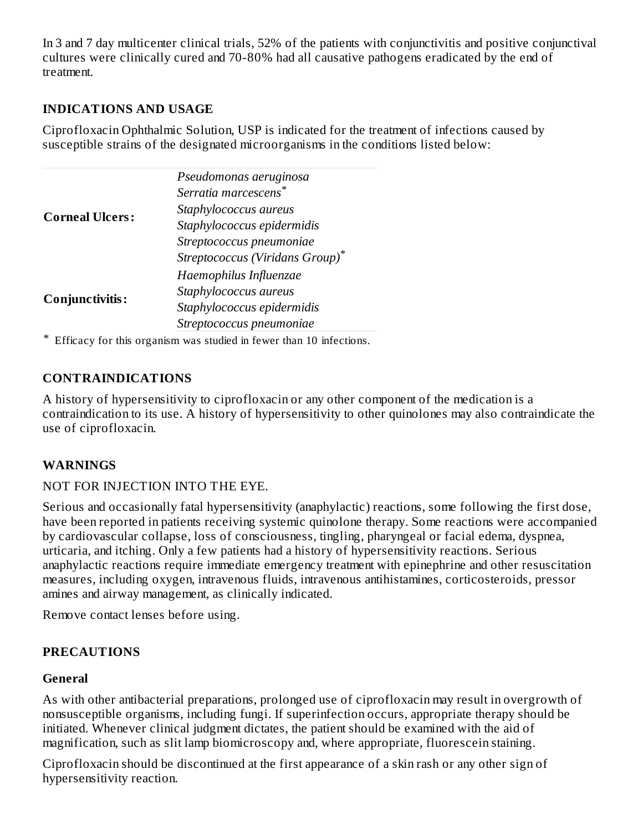In 3 and 7 day multicenter clinical trials, 52% of the patients with conjunctivitis and positive conjunctival cultures were clinically cured and 70-80% had all causative pathogens eradicated by the end of treatment.

## **INDICATIONS AND USAGE**

Ciprofloxacin Ophthalmic Solution, USP is indicated for the treatment of infections caused by susceptible strains of the designated microorganisms in the conditions listed below:

|                        | Pseudomonas aeruginosa           |  |  |  |  |
|------------------------|----------------------------------|--|--|--|--|
|                        | Serratia marcescens <sup>*</sup> |  |  |  |  |
| <b>Corneal Ulcers:</b> | Staphylococcus aureus            |  |  |  |  |
|                        | Staphylococcus epidermidis       |  |  |  |  |
|                        | Streptococcus pneumoniae         |  |  |  |  |
|                        | Streptococcus (Viridans Group)*  |  |  |  |  |
|                        | Haemophilus Influenzae           |  |  |  |  |
| <b>Conjunctivitis:</b> | Staphylococcus aureus            |  |  |  |  |
|                        | Staphylococcus epidermidis       |  |  |  |  |
|                        | Streptococcus pneumoniae         |  |  |  |  |

\* Efficacy for this organism was studied in fewer than 10 infections.

## **CONTRAINDICATIONS**

A history of hypersensitivity to ciprofloxacin or any other component of the medication is a contraindication to its use. A history of hypersensitivity to other quinolones may also contraindicate the use of ciprofloxacin.

#### **WARNINGS**

#### NOT FOR INJECTION INTO THE EYE.

Serious and occasionally fatal hypersensitivity (anaphylactic) reactions, some following the first dose, have been reported in patients receiving systemic quinolone therapy. Some reactions were accompanied by cardiovascular collapse, loss of consciousness, tingling, pharyngeal or facial edema, dyspnea, urticaria, and itching. Only a few patients had a history of hypersensitivity reactions. Serious anaphylactic reactions require immediate emergency treatment with epinephrine and other resuscitation measures, including oxygen, intravenous fluids, intravenous antihistamines, corticosteroids, pressor amines and airway management, as clinically indicated.

Remove contact lenses before using.

#### **PRECAUTIONS**

#### **General**

As with other antibacterial preparations, prolonged use of ciprofloxacin may result in overgrowth of nonsusceptible organisms, including fungi. If superinfection occurs, appropriate therapy should be initiated. Whenever clinical judgment dictates, the patient should be examined with the aid of magnification, such as slit lamp biomicroscopy and, where appropriate, fluorescein staining.

Ciprofloxacin should be discontinued at the first appearance of a skin rash or any other sign of hypersensitivity reaction.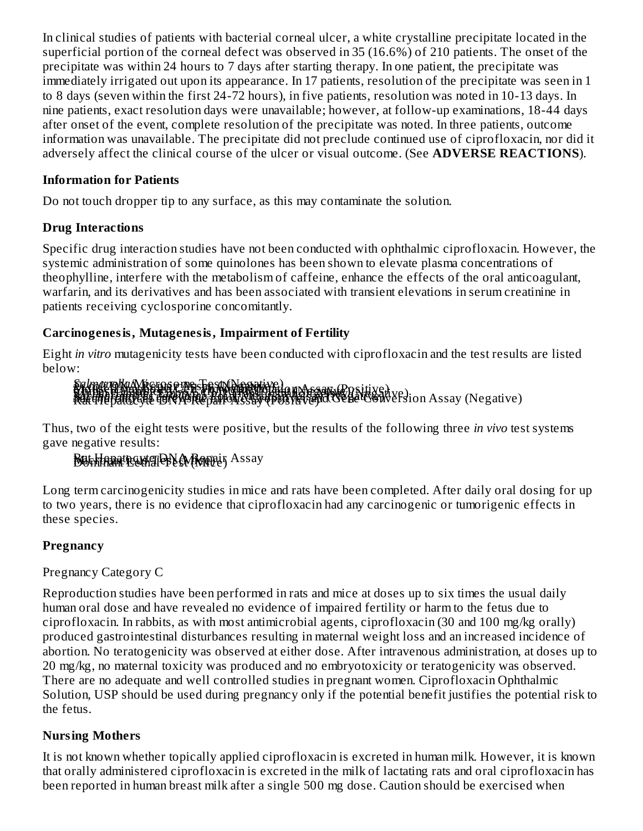In clinical studies of patients with bacterial corneal ulcer, a white crystalline precipitate located in the superficial portion of the corneal defect was observed in 35 (16.6%) of 210 patients. The onset of the precipitate was within 24 hours to 7 days after starting therapy. In one patient, the precipitate was immediately irrigated out upon its appearance. In 17 patients, resolution of the precipitate was seen in 1 to 8 days (seven within the first 24-72 hours), in five patients, resolution was noted in 10-13 days. In nine patients, exact resolution days were unavailable; however, at follow-up examinations, 18-44 days after onset of the event, complete resolution of the precipitate was noted. In three patients, outcome information was unavailable. The precipitate did not preclude continued use of ciprofloxacin, nor did it adversely affect the clinical course of the ulcer or visual outcome. (See **ADVERSE REACTIONS**).

#### **Information for Patients**

Do not touch dropper tip to any surface, as this may contaminate the solution.

#### **Drug Interactions**

Specific drug interaction studies have not been conducted with ophthalmic ciprofloxacin. However, the systemic administration of some quinolones has been shown to elevate plasma concentrations of theophylline, interfere with the metabolism of caffeine, enhance the effects of the oral anticoagulant, warfarin, and its derivatives and has been associated with transient elevations in serum creatinine in patients receiving cyclosporine concomitantly.

## **Carcinogenesis, Mutagenesis, Impairment of Fertility**

Eight *in vitro* mutagenicity tests have been conducted with ciprofloxacin and the test results are listed below:

# *SqlmouphaANigung e p*res<del>lasmMenative)</del><br>Ratthelative to the contraction of the contractor of the conversion Assay (Negative)

Thus, two of the eight tests were positive, but the results of the following three *in vivo* test systems gave negative results:

# BUGHARME LEHETOPLA AMPUES Assay

Long term carcinogenicity studies in mice and rats have been completed. After daily oral dosing for up to two years, there is no evidence that ciprofloxacin had any carcinogenic or tumorigenic effects in these species.

#### **Pregnancy**

#### Pregnancy Category C

Reproduction studies have been performed in rats and mice at doses up to six times the usual daily human oral dose and have revealed no evidence of impaired fertility or harm to the fetus due to ciprofloxacin. In rabbits, as with most antimicrobial agents, ciprofloxacin (30 and 100 mg/kg orally) produced gastrointestinal disturbances resulting in maternal weight loss and an increased incidence of abortion. No teratogenicity was observed at either dose. After intravenous administration, at doses up to 20 mg/kg, no maternal toxicity was produced and no embryotoxicity or teratogenicity was observed. There are no adequate and well controlled studies in pregnant women. Ciprofloxacin Ophthalmic Solution, USP should be used during pregnancy only if the potential benefit justifies the potential risk to the fetus.

#### **Nursing Mothers**

It is not known whether topically applied ciprofloxacin is excreted in human milk. However, it is known that orally administered ciprofloxacin is excreted in the milk of lactating rats and oral ciprofloxacin has been reported in human breast milk after a single 500 mg dose. Caution should be exercised when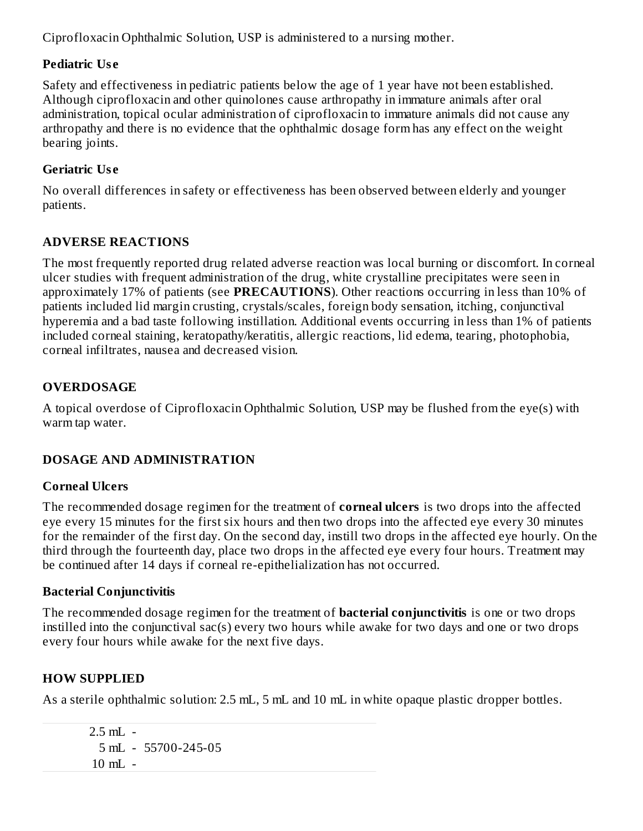Ciprofloxacin Ophthalmic Solution, USP is administered to a nursing mother.

## **Pediatric Us e**

Safety and effectiveness in pediatric patients below the age of 1 year have not been established. Although ciprofloxacin and other quinolones cause arthropathy in immature animals after oral administration, topical ocular administration of ciprofloxacin to immature animals did not cause any arthropathy and there is no evidence that the ophthalmic dosage form has any effect on the weight bearing joints.

## **Geriatric Us e**

No overall differences in safety or effectiveness has been observed between elderly and younger patients.

# **ADVERSE REACTIONS**

The most frequently reported drug related adverse reaction was local burning or discomfort. In corneal ulcer studies with frequent administration of the drug, white crystalline precipitates were seen in approximately 17% of patients (see **PRECAUTIONS**). Other reactions occurring in less than 10% of patients included lid margin crusting, crystals/scales, foreign body sensation, itching, conjunctival hyperemia and a bad taste following instillation. Additional events occurring in less than 1% of patients included corneal staining, keratopathy/keratitis, allergic reactions, lid edema, tearing, photophobia, corneal infiltrates, nausea and decreased vision.

# **OVERDOSAGE**

A topical overdose of Ciprofloxacin Ophthalmic Solution, USP may be flushed from the eye(s) with warm tap water.

## **DOSAGE AND ADMINISTRATION**

## **Corneal Ulcers**

The recommended dosage regimen for the treatment of **corneal ulcers** is two drops into the affected eye every 15 minutes for the first six hours and then two drops into the affected eye every 30 minutes for the remainder of the first day. On the second day, instill two drops in the affected eye hourly. On the third through the fourteenth day, place two drops in the affected eye every four hours. Treatment may be continued after 14 days if corneal re-epithelialization has not occurred.

#### **Bacterial Conjunctivitis**

The recommended dosage regimen for the treatment of **bacterial conjunctivitis** is one or two drops instilled into the conjunctival sac(s) every two hours while awake for two days and one or two drops every four hours while awake for the next five days.

## **HOW SUPPLIED**

As a sterile ophthalmic solution: 2.5 mL, 5 mL and 10 mL in white opaque plastic dropper bottles.

2.5 mL - 5 mL - 55700-245-05 10 mL -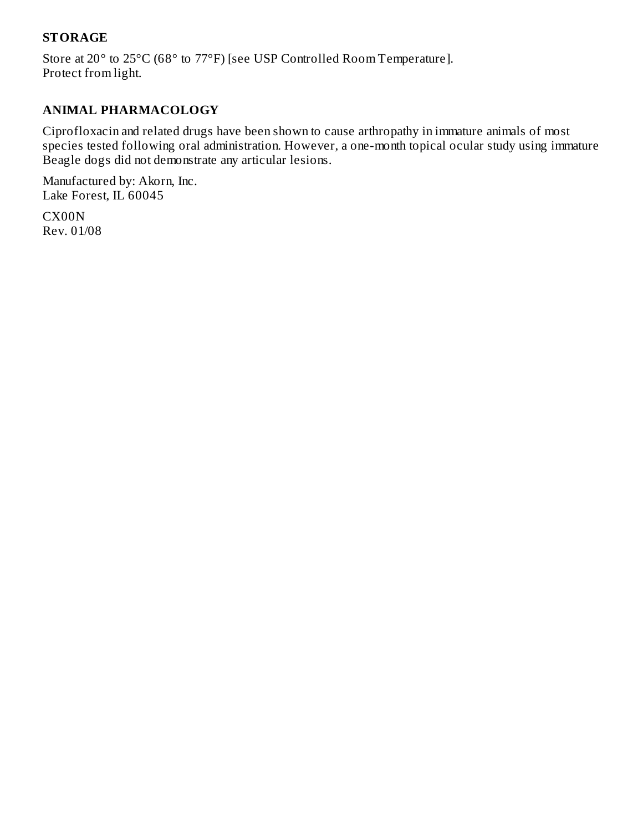## **STORAGE**

Store at 20° to 25°C (68° to 77°F) [see USP Controlled Room Temperature]. Protect from light.

## **ANIMAL PHARMACOLOGY**

Ciprofloxacin and related drugs have been shown to cause arthropathy in immature animals of most species tested following oral administration. However, a one-month topical ocular study using immature Beagle dogs did not demonstrate any articular lesions.

Manufactured by: Akorn, Inc. Lake Forest, IL 60045

CX00N Rev. 01/08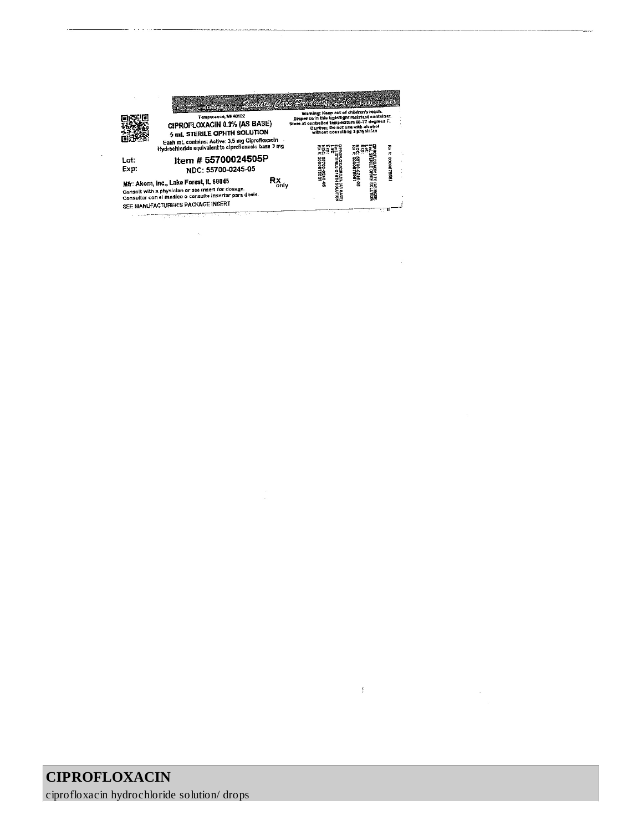|      | examplement businessing Quick Productor All Henoistration<br>Temperance, MI 48182<br>CIPROFLOXACIN 0.3% (AS BASE)<br>5 mL STERILE OPHTH SOLUTION                                             |                   | Dispense in this tightlight resistant container.<br>Store at controlled temperature 68-77 degrees F. | Warning: Keep out of children's reach.<br>without consulting a physician |  | Caution: Do not use with alcohol |  |
|------|----------------------------------------------------------------------------------------------------------------------------------------------------------------------------------------------|-------------------|------------------------------------------------------------------------------------------------------|--------------------------------------------------------------------------|--|----------------------------------|--|
|      | Each mL contains: Active: 3.5 mg Ciprofloxacin<br>Hydrochloride equivalent to ciprofloxacin base 3 mg                                                                                        |                   |                                                                                                      |                                                                          |  |                                  |  |
| Lot: | Item #55700024505P                                                                                                                                                                           |                   |                                                                                                      |                                                                          |  |                                  |  |
| Exp: | NDC: 55700-0245-05                                                                                                                                                                           |                   |                                                                                                      |                                                                          |  |                                  |  |
|      | Mfr: Akom, Inc., Lake Forest, IL 60045<br>Consult with a physician or see insert for dosage.<br>Consultar con el medico o consulte insertar para dosis.<br>SEE MANUFACTURER'S PACKAGE INSERT | <b>RX</b><br>only |                                                                                                      |                                                                          |  | 霵                                |  |

 $\frac{1}{100}$ 

 $\sim 4^{\circ}$ 

 $\label{eq:2.1} \frac{1}{\sqrt{2}}\int_{\mathbb{R}^3}\frac{1}{\sqrt{2}}\left(\frac{1}{\sqrt{2}}\right)^2\left(\frac{1}{\sqrt{2}}\right)^2\left(\frac{1}{\sqrt{2}}\right)^2\left(\frac{1}{\sqrt{2}}\right)^2\left(\frac{1}{\sqrt{2}}\right)^2\left(\frac{1}{\sqrt{2}}\right)^2.$ 

 $\label{eq:2.1} \frac{1}{2} \int_{\mathbb{R}^3} \left| \frac{d\mu}{\mu} \right|^2 \, d\mu = \int_{\mathbb{R}^3} \left| \frac{d\mu}{\mu} \right|^2 \, d\mu = \int_{\mathbb{R}^3} \left| \frac{d\mu}{\mu} \right|^2 \, d\mu.$ 

 $\sim$